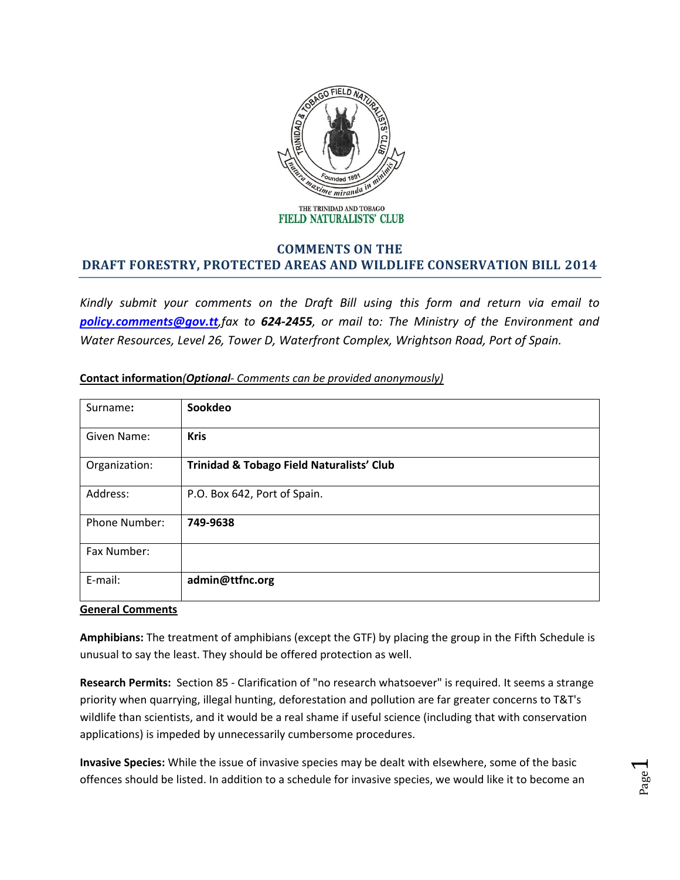

## **COMMENTS ON THE DRAFT FORESTRY, PROTECTED AREAS AND WILDLIFE CONSERVATION BILL 2014**

*Kindly submit your comments on the Draft Bill using this form and return via email to [policy.comments@gov.tt](mailto:policy.comments@gov.tt),fax to 624-2455, or mail to: The Ministry of the Environment and Water Resources, Level 26, Tower D, Waterfront Complex, Wrightson Road, Port of Spain.* 

| Surname:             | Sookdeo                                   |
|----------------------|-------------------------------------------|
| Given Name:          | <b>Kris</b>                               |
| Organization:        | Trinidad & Tobago Field Naturalists' Club |
| Address:             | P.O. Box 642, Port of Spain.              |
| <b>Phone Number:</b> | 749-9638                                  |
| Fax Number:          |                                           |
| E-mail:              | admin@ttfnc.org                           |

## **Contact information***(Optional- Comments can be provided anonymously)*

## **General Comments**

**Amphibians:** The treatment of amphibians (except the GTF) by placing the group in the Fifth Schedule is unusual to say the least. They should be offered protection as well.

**Research Permits:** Section 85 - Clarification of "no research whatsoever" is required. It seems a strange priority when quarrying, illegal hunting, deforestation and pollution are far greater concerns to T&T's wildlife than scientists, and it would be a real shame if useful science (including that with conservation applications) is impeded by unnecessarily cumbersome procedures.

**Invasive Species:** While the issue of invasive species may be dealt with elsewhere, some of the basic offences should be listed. In addition to a schedule for invasive species, we would like it to become an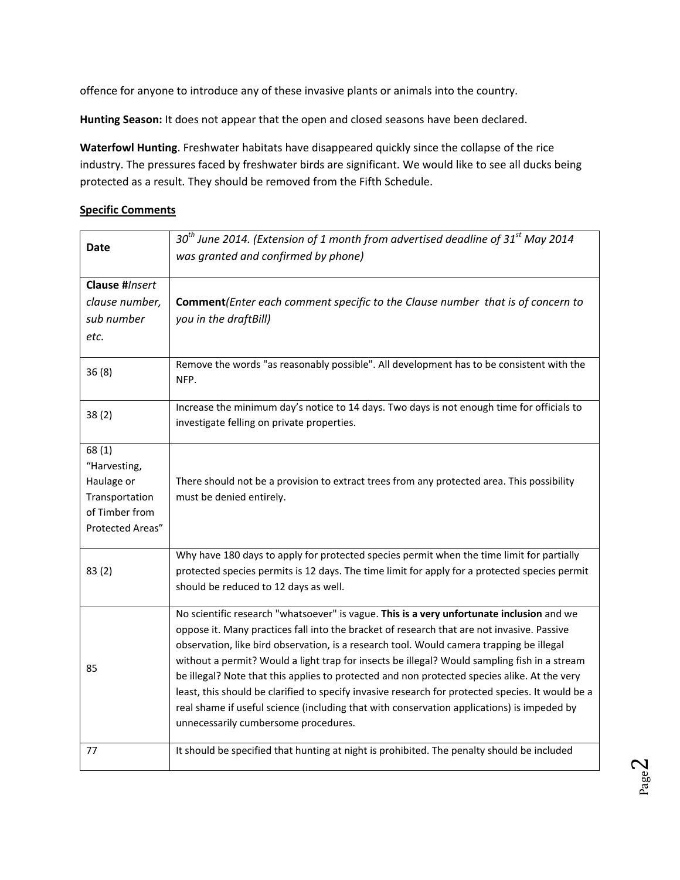offence for anyone to introduce any of these invasive plants or animals into the country.

**Hunting Season:** It does not appear that the open and closed seasons have been declared.

**Waterfowl Hunting**. Freshwater habitats have disappeared quickly since the collapse of the rice industry. The pressures faced by freshwater birds are significant. We would like to see all ducks being protected as a result. They should be removed from the Fifth Schedule.

## **Specific Comments**

| <b>Date</b>                                                                                 | $30th$ June 2014. (Extension of 1 month from advertised deadline of 31 <sup>st</sup> May 2014<br>was granted and confirmed by phone)                                                                                                                                                                                                                                                                                                                                                                                                                                                                                                                                                                                           |
|---------------------------------------------------------------------------------------------|--------------------------------------------------------------------------------------------------------------------------------------------------------------------------------------------------------------------------------------------------------------------------------------------------------------------------------------------------------------------------------------------------------------------------------------------------------------------------------------------------------------------------------------------------------------------------------------------------------------------------------------------------------------------------------------------------------------------------------|
| Clause #Insert<br>clause number,                                                            | Comment (Enter each comment specific to the Clause number that is of concern to                                                                                                                                                                                                                                                                                                                                                                                                                                                                                                                                                                                                                                                |
| sub number                                                                                  | you in the draftBill)                                                                                                                                                                                                                                                                                                                                                                                                                                                                                                                                                                                                                                                                                                          |
| etc.                                                                                        |                                                                                                                                                                                                                                                                                                                                                                                                                                                                                                                                                                                                                                                                                                                                |
| 36(8)                                                                                       | Remove the words "as reasonably possible". All development has to be consistent with the<br>NFP.                                                                                                                                                                                                                                                                                                                                                                                                                                                                                                                                                                                                                               |
| 38(2)                                                                                       | Increase the minimum day's notice to 14 days. Two days is not enough time for officials to<br>investigate felling on private properties.                                                                                                                                                                                                                                                                                                                                                                                                                                                                                                                                                                                       |
| 68(1)<br>"Harvesting,<br>Haulage or<br>Transportation<br>of Timber from<br>Protected Areas" | There should not be a provision to extract trees from any protected area. This possibility<br>must be denied entirely.                                                                                                                                                                                                                                                                                                                                                                                                                                                                                                                                                                                                         |
| 83(2)                                                                                       | Why have 180 days to apply for protected species permit when the time limit for partially<br>protected species permits is 12 days. The time limit for apply for a protected species permit<br>should be reduced to 12 days as well.                                                                                                                                                                                                                                                                                                                                                                                                                                                                                            |
| 85                                                                                          | No scientific research "whatsoever" is vague. This is a very unfortunate inclusion and we<br>oppose it. Many practices fall into the bracket of research that are not invasive. Passive<br>observation, like bird observation, is a research tool. Would camera trapping be illegal<br>without a permit? Would a light trap for insects be illegal? Would sampling fish in a stream<br>be illegal? Note that this applies to protected and non protected species alike. At the very<br>least, this should be clarified to specify invasive research for protected species. It would be a<br>real shame if useful science (including that with conservation applications) is impeded by<br>unnecessarily cumbersome procedures. |
| 77                                                                                          | It should be specified that hunting at night is prohibited. The penalty should be included                                                                                                                                                                                                                                                                                                                                                                                                                                                                                                                                                                                                                                     |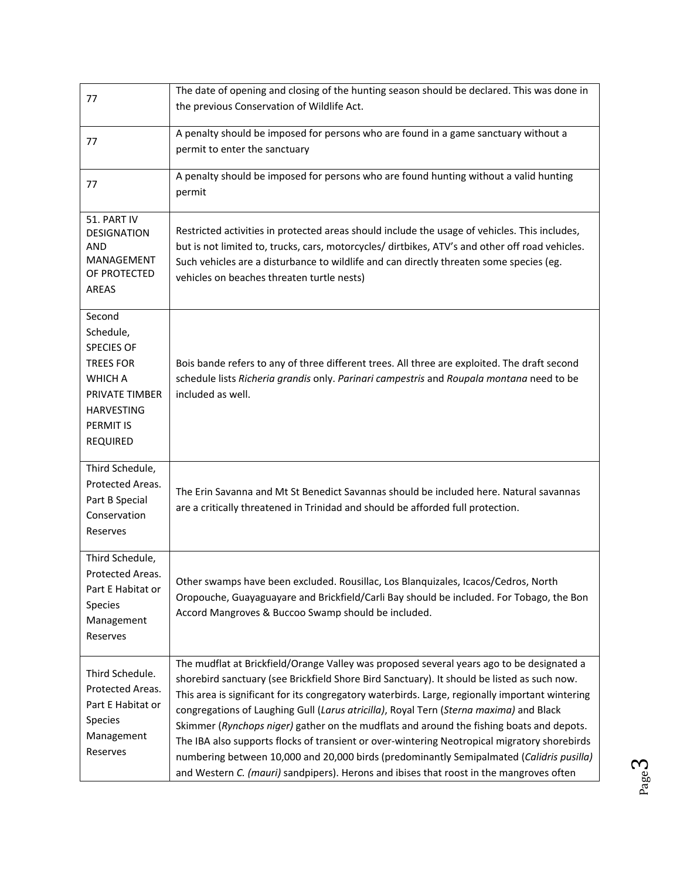| 77                                                                                                                                                           | The date of opening and closing of the hunting season should be declared. This was done in<br>the previous Conservation of Wildlife Act.                                                                                                                                                                                                                                                                                                                                                                                                                                                                                                                                                                                                                                 |
|--------------------------------------------------------------------------------------------------------------------------------------------------------------|--------------------------------------------------------------------------------------------------------------------------------------------------------------------------------------------------------------------------------------------------------------------------------------------------------------------------------------------------------------------------------------------------------------------------------------------------------------------------------------------------------------------------------------------------------------------------------------------------------------------------------------------------------------------------------------------------------------------------------------------------------------------------|
| 77                                                                                                                                                           | A penalty should be imposed for persons who are found in a game sanctuary without a<br>permit to enter the sanctuary                                                                                                                                                                                                                                                                                                                                                                                                                                                                                                                                                                                                                                                     |
| 77                                                                                                                                                           | A penalty should be imposed for persons who are found hunting without a valid hunting<br>permit                                                                                                                                                                                                                                                                                                                                                                                                                                                                                                                                                                                                                                                                          |
| 51. PART IV<br><b>DESIGNATION</b><br><b>AND</b><br><b>MANAGEMENT</b><br>OF PROTECTED<br><b>AREAS</b>                                                         | Restricted activities in protected areas should include the usage of vehicles. This includes,<br>but is not limited to, trucks, cars, motorcycles/ dirtbikes, ATV's and other off road vehicles.<br>Such vehicles are a disturbance to wildlife and can directly threaten some species (eg.<br>vehicles on beaches threaten turtle nests)                                                                                                                                                                                                                                                                                                                                                                                                                                |
| Second<br>Schedule,<br><b>SPECIES OF</b><br><b>TREES FOR</b><br><b>WHICH A</b><br>PRIVATE TIMBER<br><b>HARVESTING</b><br><b>PERMIT IS</b><br><b>REQUIRED</b> | Bois bande refers to any of three different trees. All three are exploited. The draft second<br>schedule lists Richeria grandis only. Parinari campestris and Roupala montana need to be<br>included as well.                                                                                                                                                                                                                                                                                                                                                                                                                                                                                                                                                            |
| Third Schedule,<br>Protected Areas.<br>Part B Special<br>Conservation<br>Reserves                                                                            | The Erin Savanna and Mt St Benedict Savannas should be included here. Natural savannas<br>are a critically threatened in Trinidad and should be afforded full protection.                                                                                                                                                                                                                                                                                                                                                                                                                                                                                                                                                                                                |
| Third Schedule,<br>Protected Areas.<br>Part E Habitat or<br><b>Species</b><br>Management<br>Reserves                                                         | Other swamps have been excluded. Rousillac, Los Blanquizales, Icacos/Cedros, North<br>Oropouche, Guayaguayare and Brickfield/Carli Bay should be included. For Tobago, the Bon<br>Accord Mangroves & Buccoo Swamp should be included.                                                                                                                                                                                                                                                                                                                                                                                                                                                                                                                                    |
| Third Schedule.<br>Protected Areas.<br>Part E Habitat or<br>Species<br>Management<br>Reserves                                                                | The mudflat at Brickfield/Orange Valley was proposed several years ago to be designated a<br>shorebird sanctuary (see Brickfield Shore Bird Sanctuary). It should be listed as such now.<br>This area is significant for its congregatory waterbirds. Large, regionally important wintering<br>congregations of Laughing Gull (Larus atricilla), Royal Tern (Sterna maxima) and Black<br>Skimmer (Rynchops niger) gather on the mudflats and around the fishing boats and depots.<br>The IBA also supports flocks of transient or over-wintering Neotropical migratory shorebirds<br>numbering between 10,000 and 20,000 birds (predominantly Semipalmated (Calidris pusilla)<br>and Western C. (mauri) sandpipers). Herons and ibises that roost in the mangroves often |

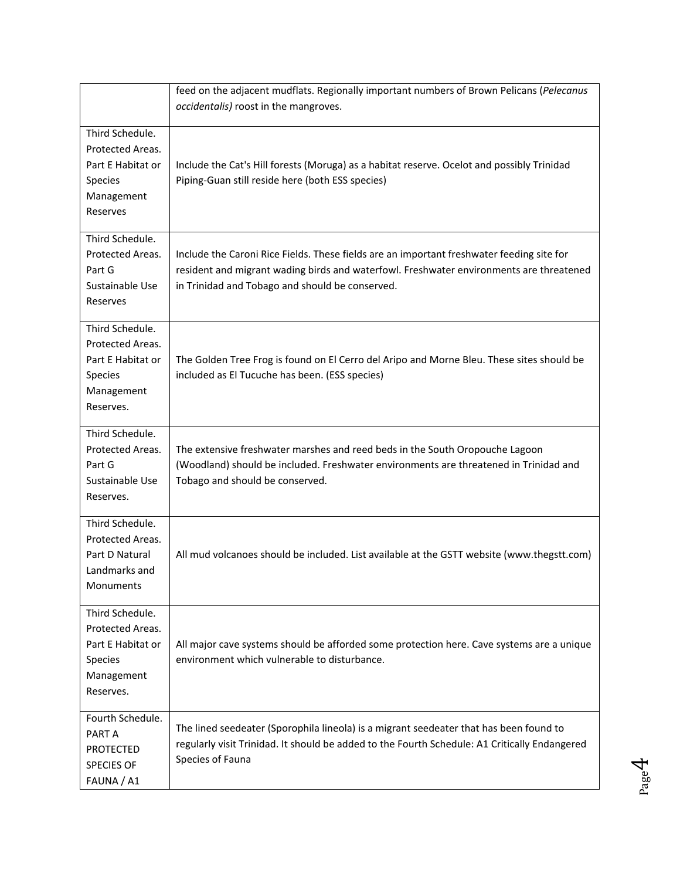|                                                                                                       | feed on the adjacent mudflats. Regionally important numbers of Brown Pelicans (Pelecanus<br>occidentalis) roost in the mangroves.                                                                                                       |
|-------------------------------------------------------------------------------------------------------|-----------------------------------------------------------------------------------------------------------------------------------------------------------------------------------------------------------------------------------------|
| Third Schedule.<br>Protected Areas.<br>Part E Habitat or<br>Species<br>Management<br>Reserves         | Include the Cat's Hill forests (Moruga) as a habitat reserve. Ocelot and possibly Trinidad<br>Piping-Guan still reside here (both ESS species)                                                                                          |
| Third Schedule.<br>Protected Areas.<br>Part G<br>Sustainable Use<br>Reserves                          | Include the Caroni Rice Fields. These fields are an important freshwater feeding site for<br>resident and migrant wading birds and waterfowl. Freshwater environments are threatened<br>in Trinidad and Tobago and should be conserved. |
| Third Schedule.<br>Protected Areas.<br>Part E Habitat or<br>Species<br>Management<br>Reserves.        | The Golden Tree Frog is found on El Cerro del Aripo and Morne Bleu. These sites should be<br>included as El Tucuche has been. (ESS species)                                                                                             |
| Third Schedule.<br>Protected Areas.<br>Part G<br>Sustainable Use<br>Reserves.                         | The extensive freshwater marshes and reed beds in the South Oropouche Lagoon<br>(Woodland) should be included. Freshwater environments are threatened in Trinidad and<br>Tobago and should be conserved.                                |
| Third Schedule.<br>Protected Areas.<br>Part D Natural<br>Landmarks and<br>Monuments                   | All mud volcanoes should be included. List available at the GSTT website (www.thegstt.com)                                                                                                                                              |
| Third Schedule.<br>Protected Areas.<br>Part E Habitat or<br><b>Species</b><br>Management<br>Reserves. | All major cave systems should be afforded some protection here. Cave systems are a unique<br>environment which vulnerable to disturbance.                                                                                               |
| Fourth Schedule.<br>PART A<br><b>PROTECTED</b><br><b>SPECIES OF</b><br>FAUNA / A1                     | The lined seedeater (Sporophila lineola) is a migrant seedeater that has been found to<br>regularly visit Trinidad. It should be added to the Fourth Schedule: A1 Critically Endangered<br>Species of Fauna                             |

Page 4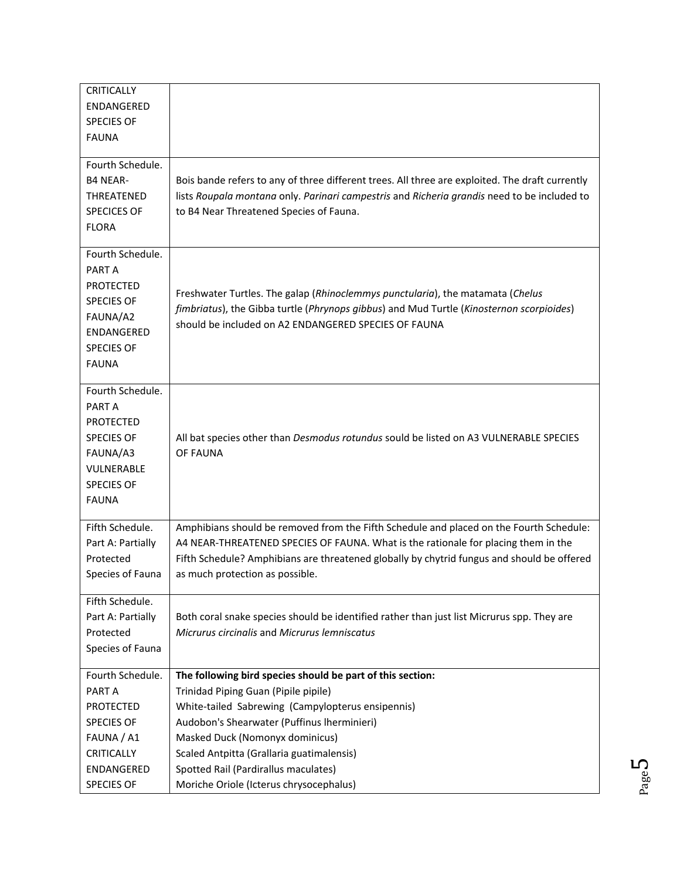| <b>CRITICALLY</b>  |                                                                                                 |
|--------------------|-------------------------------------------------------------------------------------------------|
| <b>ENDANGERED</b>  |                                                                                                 |
| <b>SPECIES OF</b>  |                                                                                                 |
| <b>FAUNA</b>       |                                                                                                 |
|                    |                                                                                                 |
| Fourth Schedule.   |                                                                                                 |
| <b>B4 NEAR-</b>    | Bois bande refers to any of three different trees. All three are exploited. The draft currently |
| THREATENED         | lists Roupala montana only. Parinari campestris and Richeria grandis need to be included to     |
| <b>SPECICES OF</b> | to B4 Near Threatened Species of Fauna.                                                         |
| <b>FLORA</b>       |                                                                                                 |
|                    |                                                                                                 |
| Fourth Schedule.   |                                                                                                 |
| PART A             |                                                                                                 |
| <b>PROTECTED</b>   |                                                                                                 |
| <b>SPECIES OF</b>  | Freshwater Turtles. The galap (Rhinoclemmys punctularia), the matamata (Chelus                  |
| FAUNA/A2           | fimbriatus), the Gibba turtle (Phrynops gibbus) and Mud Turtle (Kinosternon scorpioides)        |
| <b>ENDANGERED</b>  | should be included on A2 ENDANGERED SPECIES OF FAUNA                                            |
| <b>SPECIES OF</b>  |                                                                                                 |
| <b>FAUNA</b>       |                                                                                                 |
|                    |                                                                                                 |
| Fourth Schedule.   |                                                                                                 |
| PART A             |                                                                                                 |
| <b>PROTECTED</b>   |                                                                                                 |
| <b>SPECIES OF</b>  | All bat species other than Desmodus rotundus sould be listed on A3 VULNERABLE SPECIES           |
| FAUNA/A3           | OF FAUNA                                                                                        |
| VULNERABLE         |                                                                                                 |
| <b>SPECIES OF</b>  |                                                                                                 |
| <b>FAUNA</b>       |                                                                                                 |
|                    |                                                                                                 |
| Fifth Schedule.    | Amphibians should be removed from the Fifth Schedule and placed on the Fourth Schedule:         |
| Part A: Partially  | A4 NEAR-THREATENED SPECIES OF FAUNA. What is the rationale for placing them in the              |
| Protected          | Fifth Schedule? Amphibians are threatened globally by chytrid fungus and should be offered      |
| Species of Fauna   | as much protection as possible.                                                                 |
|                    |                                                                                                 |
| Fifth Schedule.    |                                                                                                 |
| Part A: Partially  | Both coral snake species should be identified rather than just list Micrurus spp. They are      |
| Protected          | Micrurus circinalis and Micrurus lemniscatus                                                    |
| Species of Fauna   |                                                                                                 |
|                    |                                                                                                 |
| Fourth Schedule.   | The following bird species should be part of this section:                                      |
| PART A             | Trinidad Piping Guan (Pipile pipile)                                                            |
| <b>PROTECTED</b>   | White-tailed Sabrewing (Campylopterus ensipennis)                                               |
| <b>SPECIES OF</b>  | Audobon's Shearwater (Puffinus Iherminieri)                                                     |
| FAUNA / A1         | Masked Duck (Nomonyx dominicus)                                                                 |
| <b>CRITICALLY</b>  | Scaled Antpitta (Grallaria guatimalensis)                                                       |
| <b>ENDANGERED</b>  | Spotted Rail (Pardirallus maculates)                                                            |
| <b>SPECIES OF</b>  | Moriche Oriole (Icterus chrysocephalus)                                                         |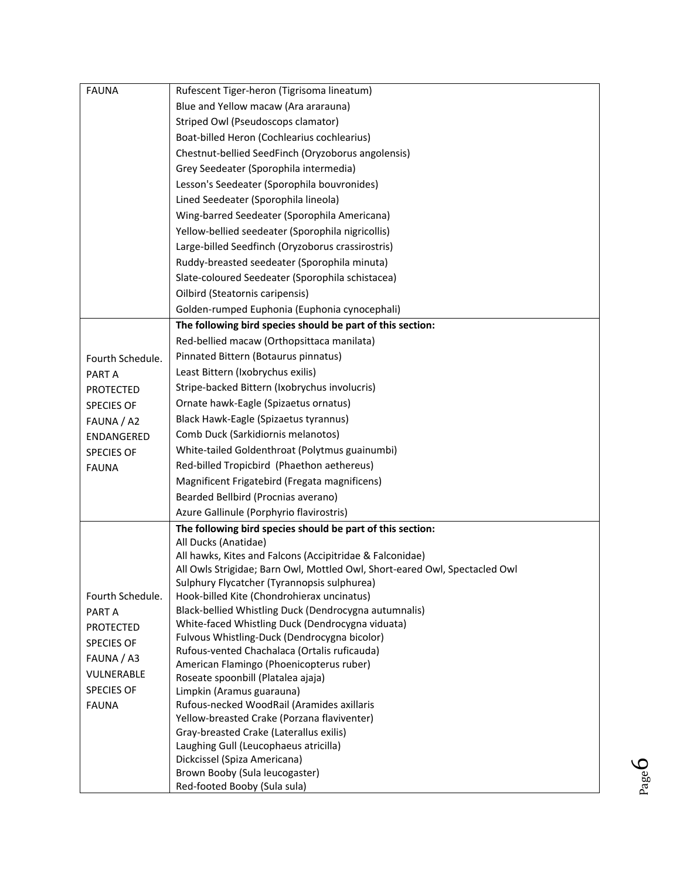| <b>FAUNA</b>                                                                                                         | Rufescent Tiger-heron (Tigrisoma lineatum)                                                                                                                                                                                                                                                                                                                                                                                                                                                                                                                                                                                                                                          |
|----------------------------------------------------------------------------------------------------------------------|-------------------------------------------------------------------------------------------------------------------------------------------------------------------------------------------------------------------------------------------------------------------------------------------------------------------------------------------------------------------------------------------------------------------------------------------------------------------------------------------------------------------------------------------------------------------------------------------------------------------------------------------------------------------------------------|
|                                                                                                                      | Blue and Yellow macaw (Ara ararauna)                                                                                                                                                                                                                                                                                                                                                                                                                                                                                                                                                                                                                                                |
|                                                                                                                      | Striped Owl (Pseudoscops clamator)                                                                                                                                                                                                                                                                                                                                                                                                                                                                                                                                                                                                                                                  |
|                                                                                                                      | Boat-billed Heron (Cochlearius cochlearius)                                                                                                                                                                                                                                                                                                                                                                                                                                                                                                                                                                                                                                         |
|                                                                                                                      | Chestnut-bellied SeedFinch (Oryzoborus angolensis)                                                                                                                                                                                                                                                                                                                                                                                                                                                                                                                                                                                                                                  |
|                                                                                                                      | Grey Seedeater (Sporophila intermedia)                                                                                                                                                                                                                                                                                                                                                                                                                                                                                                                                                                                                                                              |
|                                                                                                                      | Lesson's Seedeater (Sporophila bouvronides)                                                                                                                                                                                                                                                                                                                                                                                                                                                                                                                                                                                                                                         |
|                                                                                                                      | Lined Seedeater (Sporophila lineola)                                                                                                                                                                                                                                                                                                                                                                                                                                                                                                                                                                                                                                                |
|                                                                                                                      | Wing-barred Seedeater (Sporophila Americana)                                                                                                                                                                                                                                                                                                                                                                                                                                                                                                                                                                                                                                        |
|                                                                                                                      | Yellow-bellied seedeater (Sporophila nigricollis)                                                                                                                                                                                                                                                                                                                                                                                                                                                                                                                                                                                                                                   |
|                                                                                                                      | Large-billed Seedfinch (Oryzoborus crassirostris)                                                                                                                                                                                                                                                                                                                                                                                                                                                                                                                                                                                                                                   |
|                                                                                                                      | Ruddy-breasted seedeater (Sporophila minuta)                                                                                                                                                                                                                                                                                                                                                                                                                                                                                                                                                                                                                                        |
|                                                                                                                      | Slate-coloured Seedeater (Sporophila schistacea)                                                                                                                                                                                                                                                                                                                                                                                                                                                                                                                                                                                                                                    |
|                                                                                                                      | Oilbird (Steatornis caripensis)                                                                                                                                                                                                                                                                                                                                                                                                                                                                                                                                                                                                                                                     |
|                                                                                                                      | Golden-rumped Euphonia (Euphonia cynocephali)                                                                                                                                                                                                                                                                                                                                                                                                                                                                                                                                                                                                                                       |
|                                                                                                                      | The following bird species should be part of this section:                                                                                                                                                                                                                                                                                                                                                                                                                                                                                                                                                                                                                          |
|                                                                                                                      | Red-bellied macaw (Orthopsittaca manilata)                                                                                                                                                                                                                                                                                                                                                                                                                                                                                                                                                                                                                                          |
| Fourth Schedule.                                                                                                     | Pinnated Bittern (Botaurus pinnatus)                                                                                                                                                                                                                                                                                                                                                                                                                                                                                                                                                                                                                                                |
| PART A                                                                                                               | Least Bittern (Ixobrychus exilis)                                                                                                                                                                                                                                                                                                                                                                                                                                                                                                                                                                                                                                                   |
| <b>PROTECTED</b>                                                                                                     | Stripe-backed Bittern (Ixobrychus involucris)                                                                                                                                                                                                                                                                                                                                                                                                                                                                                                                                                                                                                                       |
| <b>SPECIES OF</b>                                                                                                    | Ornate hawk-Eagle (Spizaetus ornatus)                                                                                                                                                                                                                                                                                                                                                                                                                                                                                                                                                                                                                                               |
| FAUNA / A2                                                                                                           | Black Hawk-Eagle (Spizaetus tyrannus)                                                                                                                                                                                                                                                                                                                                                                                                                                                                                                                                                                                                                                               |
| ENDANGERED                                                                                                           | Comb Duck (Sarkidiornis melanotos)                                                                                                                                                                                                                                                                                                                                                                                                                                                                                                                                                                                                                                                  |
| <b>SPECIES OF</b>                                                                                                    | White-tailed Goldenthroat (Polytmus guainumbi)                                                                                                                                                                                                                                                                                                                                                                                                                                                                                                                                                                                                                                      |
| <b>FAUNA</b>                                                                                                         | Red-billed Tropicbird (Phaethon aethereus)                                                                                                                                                                                                                                                                                                                                                                                                                                                                                                                                                                                                                                          |
|                                                                                                                      | Magnificent Frigatebird (Fregata magnificens)                                                                                                                                                                                                                                                                                                                                                                                                                                                                                                                                                                                                                                       |
|                                                                                                                      | Bearded Bellbird (Procnias averano)                                                                                                                                                                                                                                                                                                                                                                                                                                                                                                                                                                                                                                                 |
|                                                                                                                      | Azure Gallinule (Porphyrio flavirostris)                                                                                                                                                                                                                                                                                                                                                                                                                                                                                                                                                                                                                                            |
|                                                                                                                      | The following bird species should be part of this section:                                                                                                                                                                                                                                                                                                                                                                                                                                                                                                                                                                                                                          |
|                                                                                                                      | All Ducks (Anatidae)                                                                                                                                                                                                                                                                                                                                                                                                                                                                                                                                                                                                                                                                |
|                                                                                                                      |                                                                                                                                                                                                                                                                                                                                                                                                                                                                                                                                                                                                                                                                                     |
|                                                                                                                      |                                                                                                                                                                                                                                                                                                                                                                                                                                                                                                                                                                                                                                                                                     |
|                                                                                                                      |                                                                                                                                                                                                                                                                                                                                                                                                                                                                                                                                                                                                                                                                                     |
|                                                                                                                      |                                                                                                                                                                                                                                                                                                                                                                                                                                                                                                                                                                                                                                                                                     |
|                                                                                                                      |                                                                                                                                                                                                                                                                                                                                                                                                                                                                                                                                                                                                                                                                                     |
|                                                                                                                      |                                                                                                                                                                                                                                                                                                                                                                                                                                                                                                                                                                                                                                                                                     |
|                                                                                                                      | Rufous-vented Chachalaca (Ortalis ruficauda)                                                                                                                                                                                                                                                                                                                                                                                                                                                                                                                                                                                                                                        |
|                                                                                                                      | American Flamingo (Phoenicopterus ruber)                                                                                                                                                                                                                                                                                                                                                                                                                                                                                                                                                                                                                                            |
|                                                                                                                      | Roseate spoonbill (Platalea ajaja)                                                                                                                                                                                                                                                                                                                                                                                                                                                                                                                                                                                                                                                  |
|                                                                                                                      | Limpkin (Aramus guarauna)                                                                                                                                                                                                                                                                                                                                                                                                                                                                                                                                                                                                                                                           |
| <b>FAUNA</b>                                                                                                         |                                                                                                                                                                                                                                                                                                                                                                                                                                                                                                                                                                                                                                                                                     |
|                                                                                                                      |                                                                                                                                                                                                                                                                                                                                                                                                                                                                                                                                                                                                                                                                                     |
|                                                                                                                      |                                                                                                                                                                                                                                                                                                                                                                                                                                                                                                                                                                                                                                                                                     |
|                                                                                                                      |                                                                                                                                                                                                                                                                                                                                                                                                                                                                                                                                                                                                                                                                                     |
|                                                                                                                      |                                                                                                                                                                                                                                                                                                                                                                                                                                                                                                                                                                                                                                                                                     |
|                                                                                                                      |                                                                                                                                                                                                                                                                                                                                                                                                                                                                                                                                                                                                                                                                                     |
| Fourth Schedule.<br>PART A<br><b>PROTECTED</b><br><b>SPECIES OF</b><br>FAUNA / A3<br>VULNERABLE<br><b>SPECIES OF</b> | All hawks, Kites and Falcons (Accipitridae & Falconidae)<br>All Owls Strigidae; Barn Owl, Mottled Owl, Short-eared Owl, Spectacled Owl<br>Sulphury Flycatcher (Tyrannopsis sulphurea)<br>Hook-billed Kite (Chondrohierax uncinatus)<br>Black-bellied Whistling Duck (Dendrocygna autumnalis)<br>White-faced Whistling Duck (Dendrocygna viduata)<br>Fulvous Whistling-Duck (Dendrocygna bicolor)<br>Rufous-necked WoodRail (Aramides axillaris<br>Yellow-breasted Crake (Porzana flaviventer)<br>Gray-breasted Crake (Laterallus exilis)<br>Laughing Gull (Leucophaeus atricilla)<br>Dickcissel (Spiza Americana)<br>Brown Booby (Sula leucogaster)<br>Red-footed Booby (Sula sula) |

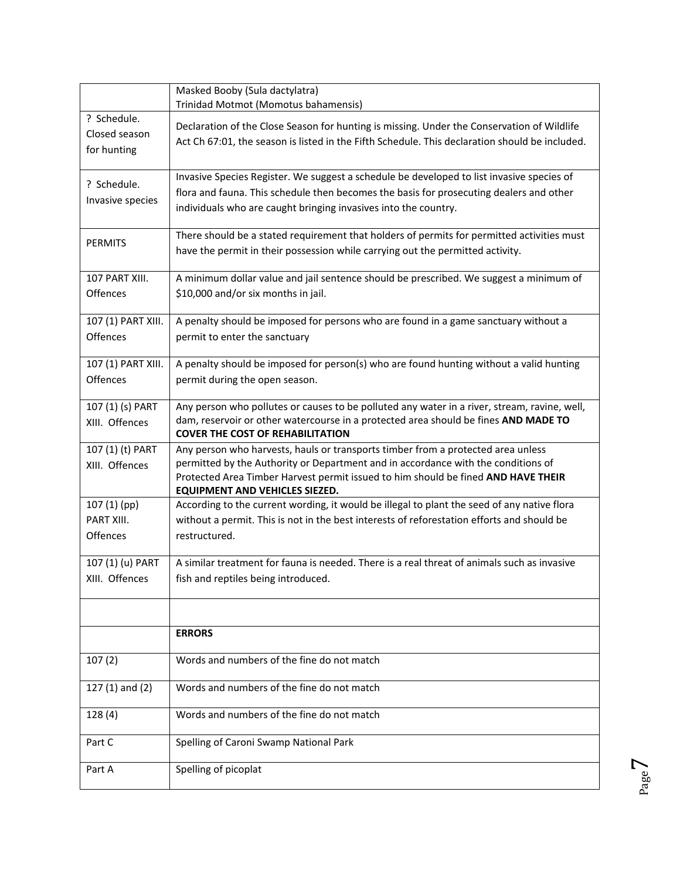|                                             | Masked Booby (Sula dactylatra)<br>Trinidad Motmot (Momotus bahamensis)                                                                                                                                                                                                                              |
|---------------------------------------------|-----------------------------------------------------------------------------------------------------------------------------------------------------------------------------------------------------------------------------------------------------------------------------------------------------|
| ? Schedule.<br>Closed season<br>for hunting | Declaration of the Close Season for hunting is missing. Under the Conservation of Wildlife<br>Act Ch 67:01, the season is listed in the Fifth Schedule. This declaration should be included.                                                                                                        |
| ? Schedule.<br>Invasive species             | Invasive Species Register. We suggest a schedule be developed to list invasive species of<br>flora and fauna. This schedule then becomes the basis for prosecuting dealers and other<br>individuals who are caught bringing invasives into the country.                                             |
| <b>PERMITS</b>                              | There should be a stated requirement that holders of permits for permitted activities must<br>have the permit in their possession while carrying out the permitted activity.                                                                                                                        |
| 107 PART XIII.<br>Offences                  | A minimum dollar value and jail sentence should be prescribed. We suggest a minimum of<br>\$10,000 and/or six months in jail.                                                                                                                                                                       |
| 107 (1) PART XIII.<br>Offences              | A penalty should be imposed for persons who are found in a game sanctuary without a<br>permit to enter the sanctuary                                                                                                                                                                                |
| 107 (1) PART XIII.<br>Offences              | A penalty should be imposed for person(s) who are found hunting without a valid hunting<br>permit during the open season.                                                                                                                                                                           |
| 107 (1) (s) PART<br>XIII. Offences          | Any person who pollutes or causes to be polluted any water in a river, stream, ravine, well,<br>dam, reservoir or other watercourse in a protected area should be fines AND MADE TO<br><b>COVER THE COST OF REHABILITATION</b>                                                                      |
| 107 (1) (t) PART<br>XIII. Offences          | Any person who harvests, hauls or transports timber from a protected area unless<br>permitted by the Authority or Department and in accordance with the conditions of<br>Protected Area Timber Harvest permit issued to him should be fined AND HAVE THEIR<br><b>EQUIPMENT AND VEHICLES SIEZED.</b> |
| 107 (1) (pp)<br>PART XIII.<br>Offences      | According to the current wording, it would be illegal to plant the seed of any native flora<br>without a permit. This is not in the best interests of reforestation efforts and should be<br>restructured.                                                                                          |
| 107 (1) (u) PART<br>XIII. Offences          | A similar treatment for fauna is needed. There is a real threat of animals such as invasive<br>fish and reptiles being introduced.                                                                                                                                                                  |
|                                             | <b>ERRORS</b>                                                                                                                                                                                                                                                                                       |
| 107(2)                                      | Words and numbers of the fine do not match                                                                                                                                                                                                                                                          |
|                                             |                                                                                                                                                                                                                                                                                                     |
| 127 $(1)$ and $(2)$                         | Words and numbers of the fine do not match                                                                                                                                                                                                                                                          |
| 128(4)                                      | Words and numbers of the fine do not match                                                                                                                                                                                                                                                          |
| Part C                                      | Spelling of Caroni Swamp National Park                                                                                                                                                                                                                                                              |
| Part A                                      | Spelling of picoplat                                                                                                                                                                                                                                                                                |

Page  $\overline{\phantom{0}}$